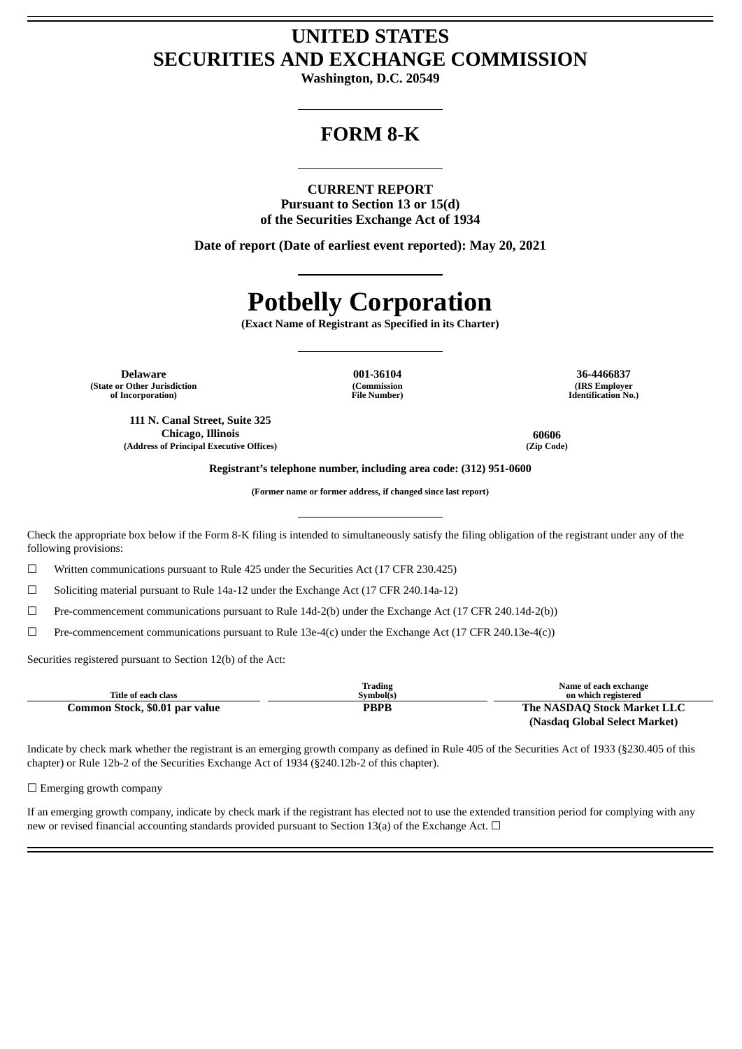# **UNITED STATES SECURITIES AND EXCHANGE COMMISSION**

**Washington, D.C. 20549**

## **FORM 8-K**

**CURRENT REPORT Pursuant to Section 13 or 15(d) of the Securities Exchange Act of 1934**

**Date of report (Date of earliest event reported): May 20, 2021**

# **Potbelly Corporation**

**(Exact Name of Registrant as Specified in its Charter)**

**Delaware 001-36104 36-4466837 (State or Other Jurisdiction of Incorporation)**

**(Commission File Number)**

**(IRS Employer Identification No.)**

**111 N. Canal Street, Suite 325 Chicago, Illinois 60606 (Address of Principal Executive Offices) (Zip Code)**

**Registrant's telephone number, including area code: (312) 951-0600**

**(Former name or former address, if changed since last report)**

Check the appropriate box below if the Form 8-K filing is intended to simultaneously satisfy the filing obligation of the registrant under any of the following provisions:

☐ Written communications pursuant to Rule 425 under the Securities Act (17 CFR 230.425)

 $\Box$  Soliciting material pursuant to Rule 14a-12 under the Exchange Act (17 CFR 240.14a-12)

 $\Box$  Pre-commencement communications pursuant to Rule 14d-2(b) under the Exchange Act (17 CFR 240.14d-2(b))

 $\Box$  Pre-commencement communications pursuant to Rule 13e-4(c) under the Exchange Act (17 CFR 240.13e-4(c))

Securities registered pursuant to Section 12(b) of the Act:

|                                | Trading     | Name of each exchange         |
|--------------------------------|-------------|-------------------------------|
| Title of each class            | Symbol(s)   | on which registered           |
| Common Stock, \$0.01 par value | <b>PBPB</b> | The NASDAQ Stock Market LLC   |
|                                |             | (Nasdaq Global Select Market) |

Indicate by check mark whether the registrant is an emerging growth company as defined in Rule 405 of the Securities Act of 1933 (§230.405 of this chapter) or Rule 12b-2 of the Securities Exchange Act of 1934 (§240.12b-2 of this chapter).

□ Emerging growth company

If an emerging growth company, indicate by check mark if the registrant has elected not to use the extended transition period for complying with any new or revised financial accounting standards provided pursuant to Section 13(a) of the Exchange Act.  $\Box$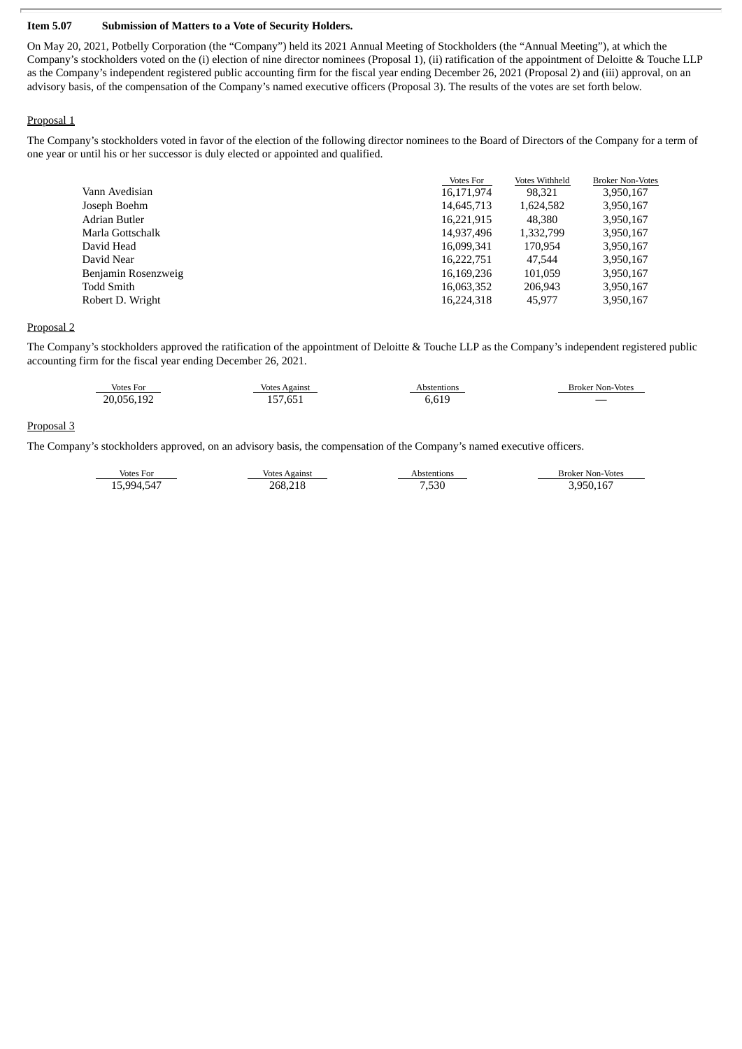#### **Item 5.07 Submission of Matters to a Vote of Security Holders.**

On May 20, 2021, Potbelly Corporation (the "Company") held its 2021 Annual Meeting of Stockholders (the "Annual Meeting"), at which the Company's stockholders voted on the (i) election of nine director nominees (Proposal 1), (ii) ratification of the appointment of Deloitte & Touche LLP as the Company's independent registered public accounting firm for the fiscal year ending December 26, 2021 (Proposal 2) and (iii) approval, on an advisory basis, of the compensation of the Company's named executive officers (Proposal 3). The results of the votes are set forth below.

#### Proposal 1

The Company's stockholders voted in favor of the election of the following director nominees to the Board of Directors of the Company for a term of one year or until his or her successor is duly elected or appointed and qualified.

|                     | Votes For  | Votes Withheld | <b>Broker Non-Votes</b> |
|---------------------|------------|----------------|-------------------------|
| Vann Avedisian      | 16,171,974 | 98,321         | 3,950,167               |
| Joseph Boehm        | 14,645,713 | 1,624,582      | 3,950,167               |
| Adrian Butler       | 16.221.915 | 48,380         | 3,950,167               |
| Marla Gottschalk    | 14,937,496 | 1,332,799      | 3,950,167               |
| David Head          | 16,099,341 | 170,954        | 3,950,167               |
| David Near          | 16,222,751 | 47.544         | 3,950,167               |
| Benjamin Rosenzweig | 16,169,236 | 101.059        | 3,950,167               |
| <b>Todd Smith</b>   | 16,063,352 | 206.943        | 3,950,167               |
| Robert D. Wright    | 16.224.318 | 45,977         | 3,950,167               |

### Proposal 2

The Company's stockholders approved the ratification of the appointment of Deloitte & Touche LLP as the Company's independent registered public accounting firm for the fiscal year ending December 26, 2021.

| Votes For  | <b>Votes Against</b>     | bstentions    | <b>Broker Non-Votes</b> |
|------------|--------------------------|---------------|-------------------------|
| 20.056.192 | $\sim$<br>$'$ .05.<br>ᅩJ | 0.10<br>ว.615 |                         |

#### Proposal 3

The Company's stockholders approved, on an advisory basis, the compensation of the Company's named executive officers.

| Votes For     | Votes Against | bstentions ا    | <b>Broker Non-Votes</b> |
|---------------|---------------|-----------------|-------------------------|
| ,994.547<br>5 | 268,218       | $^{\prime}.530$ | 3.950.167               |